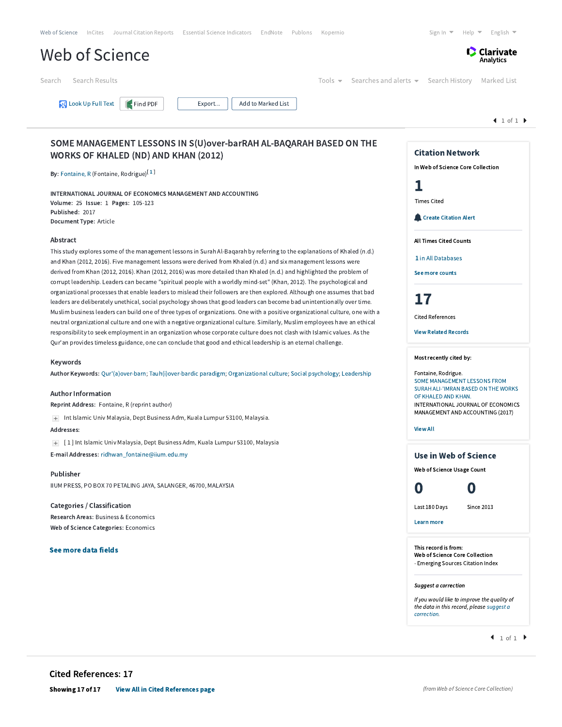| Web of Science InCites Journal Citation Reports Essential Science Indicators<br>EndNote Publons<br>Kopernio                                                                                                                                                                                                                                                                                                                                                                                                                                                                                                                                                                                                                                                                                                                                                                                                                                                                                                                                                                                                                                                                                                                                                                | Sign In $\blacktriangledown$<br>Help $\blacktriangleright$ English $\blacktriangleright$                                               |  |
|----------------------------------------------------------------------------------------------------------------------------------------------------------------------------------------------------------------------------------------------------------------------------------------------------------------------------------------------------------------------------------------------------------------------------------------------------------------------------------------------------------------------------------------------------------------------------------------------------------------------------------------------------------------------------------------------------------------------------------------------------------------------------------------------------------------------------------------------------------------------------------------------------------------------------------------------------------------------------------------------------------------------------------------------------------------------------------------------------------------------------------------------------------------------------------------------------------------------------------------------------------------------------|----------------------------------------------------------------------------------------------------------------------------------------|--|
| Web of Science                                                                                                                                                                                                                                                                                                                                                                                                                                                                                                                                                                                                                                                                                                                                                                                                                                                                                                                                                                                                                                                                                                                                                                                                                                                             | <b>C</b> Clarivate<br>Analytics                                                                                                        |  |
| Search Results<br>Search<br>Tools $\blacktriangleright$                                                                                                                                                                                                                                                                                                                                                                                                                                                                                                                                                                                                                                                                                                                                                                                                                                                                                                                                                                                                                                                                                                                                                                                                                    | Searches and alerts $\bullet$ Search History<br>Marked List                                                                            |  |
| <b>N</b> Look Up Full Text<br>Find PDF<br>Add to Marked List<br>Export                                                                                                                                                                                                                                                                                                                                                                                                                                                                                                                                                                                                                                                                                                                                                                                                                                                                                                                                                                                                                                                                                                                                                                                                     |                                                                                                                                        |  |
|                                                                                                                                                                                                                                                                                                                                                                                                                                                                                                                                                                                                                                                                                                                                                                                                                                                                                                                                                                                                                                                                                                                                                                                                                                                                            | 1 of 1                                                                                                                                 |  |
| SOME MANAGEMENT LESSONS IN S(U) over-barRAH AL-BAQARAH BASED ON THE<br><b>WORKS OF KHALED (ND) AND KHAN (2012)</b><br>By: Fontaine, R (Fontaine, Rodrigue) <sup>[1]</sup>                                                                                                                                                                                                                                                                                                                                                                                                                                                                                                                                                                                                                                                                                                                                                                                                                                                                                                                                                                                                                                                                                                  | <b>Citation Network</b><br>In Web of Science Core Collection                                                                           |  |
| <b>INTERNATIONAL JOURNAL OF ECONOMICS MANAGEMENT AND ACCOUNTING</b><br>Volume: 25 Issue: 1 Pages: 105-123<br>Published: 2017                                                                                                                                                                                                                                                                                                                                                                                                                                                                                                                                                                                                                                                                                                                                                                                                                                                                                                                                                                                                                                                                                                                                               | 1<br><b>Times Cited</b>                                                                                                                |  |
| Document Type: Article                                                                                                                                                                                                                                                                                                                                                                                                                                                                                                                                                                                                                                                                                                                                                                                                                                                                                                                                                                                                                                                                                                                                                                                                                                                     | Create Citation Alert                                                                                                                  |  |
| Abstract<br>This study explores some of the management lessons in Surah Al-Bagarah by referring to the explanations of Khaled (n.d.)<br>and Khan (2012, 2016). Five management lessons were derived from Khaled (n.d.) and six management lessons were<br>derived from Khan (2012, 2016). Khan (2012, 2016) was more detailed than Khaled (n.d.) and highlighted the problem of<br>corrupt leadership. Leaders can became "spiritual people with a worldly mind-set" (Khan, 2012). The psychological and<br>organizational processes that enable leaders to mislead their followers are then explored. Although one assumes that bad<br>leaders are deliberately unethical, social psychology shows that good leaders can become bad unintentionally over time.<br>Muslim business leaders can build one of three types of organizations. One with a positive organizational culture, one with a<br>neutral organizational culture and one with a negative organizational culture. Similarly, Muslim employees have an ethical<br>responsibility to seek employment in an organization whose corporate culture does not clash with Islamic values. As the<br>Qur'an provides timeless guidance, one can conclude that good and ethical leadership is an eternal challenge. | <b>All Times Cited Counts</b><br>1 in All Databases<br>See more counts<br>17<br><b>Cited References</b><br><b>View Related Records</b> |  |
|                                                                                                                                                                                                                                                                                                                                                                                                                                                                                                                                                                                                                                                                                                                                                                                                                                                                                                                                                                                                                                                                                                                                                                                                                                                                            |                                                                                                                                        |  |
| Keywords<br>Author Keywords: Qur'(a)over-barn; Tauh(i)over-bardic paradigm; Organizational culture; Social psychology; Leadership                                                                                                                                                                                                                                                                                                                                                                                                                                                                                                                                                                                                                                                                                                                                                                                                                                                                                                                                                                                                                                                                                                                                          | Most recently cited by:<br>Fontaine, Rodrigue.<br>SOME MANAGEMENT LESSONS FROM<br>SURAH ALI-'IMRAN BASED ON THE WORKS                  |  |
| <b>Author Information</b><br>Reprint Address: Fontaine, R (reprint author)                                                                                                                                                                                                                                                                                                                                                                                                                                                                                                                                                                                                                                                                                                                                                                                                                                                                                                                                                                                                                                                                                                                                                                                                 | OF KHALED AND KHAN.<br>INTERNATIONAL JOURNAL OF ECONOMICS                                                                              |  |
| + Int Islamic Univ Malaysia, Dept Business Adm, Kuala Lumpur 53100, Malaysia.                                                                                                                                                                                                                                                                                                                                                                                                                                                                                                                                                                                                                                                                                                                                                                                                                                                                                                                                                                                                                                                                                                                                                                                              | MANAGEMENT AND ACCOUNTING (2017)                                                                                                       |  |
| Addresses:                                                                                                                                                                                                                                                                                                                                                                                                                                                                                                                                                                                                                                                                                                                                                                                                                                                                                                                                                                                                                                                                                                                                                                                                                                                                 | <b>View All</b>                                                                                                                        |  |
| [1] Int Islamic Univ Malaysia, Dept Business Adm, Kuala Lumpur 53100, Malaysia                                                                                                                                                                                                                                                                                                                                                                                                                                                                                                                                                                                                                                                                                                                                                                                                                                                                                                                                                                                                                                                                                                                                                                                             |                                                                                                                                        |  |
| E-mail Addresses: ridhwan fontaine@iium.edu.my                                                                                                                                                                                                                                                                                                                                                                                                                                                                                                                                                                                                                                                                                                                                                                                                                                                                                                                                                                                                                                                                                                                                                                                                                             | Use in Web of Science                                                                                                                  |  |
| Publisher                                                                                                                                                                                                                                                                                                                                                                                                                                                                                                                                                                                                                                                                                                                                                                                                                                                                                                                                                                                                                                                                                                                                                                                                                                                                  | Web of Science Usage Count                                                                                                             |  |
| IIUM PRESS, PO BOX 70 PETALING JAYA, SALANGER, 46700, MALAYSIA                                                                                                                                                                                                                                                                                                                                                                                                                                                                                                                                                                                                                                                                                                                                                                                                                                                                                                                                                                                                                                                                                                                                                                                                             | O<br>O                                                                                                                                 |  |
| Categories / Classification                                                                                                                                                                                                                                                                                                                                                                                                                                                                                                                                                                                                                                                                                                                                                                                                                                                                                                                                                                                                                                                                                                                                                                                                                                                | Last 180 Days<br><b>Since 2013</b>                                                                                                     |  |
| Research Areas: Business & Economics                                                                                                                                                                                                                                                                                                                                                                                                                                                                                                                                                                                                                                                                                                                                                                                                                                                                                                                                                                                                                                                                                                                                                                                                                                       |                                                                                                                                        |  |
| Web of Science Categories: Economics                                                                                                                                                                                                                                                                                                                                                                                                                                                                                                                                                                                                                                                                                                                                                                                                                                                                                                                                                                                                                                                                                                                                                                                                                                       | Learn more                                                                                                                             |  |
| See more data fields                                                                                                                                                                                                                                                                                                                                                                                                                                                                                                                                                                                                                                                                                                                                                                                                                                                                                                                                                                                                                                                                                                                                                                                                                                                       | This record is from:<br>Web of Science Core Collection<br>- Emerging Sources Citation Index                                            |  |
|                                                                                                                                                                                                                                                                                                                                                                                                                                                                                                                                                                                                                                                                                                                                                                                                                                                                                                                                                                                                                                                                                                                                                                                                                                                                            | Suggest a correction<br>If you would like to improve the quality of<br>the data in this record, please suggest a<br>correction.        |  |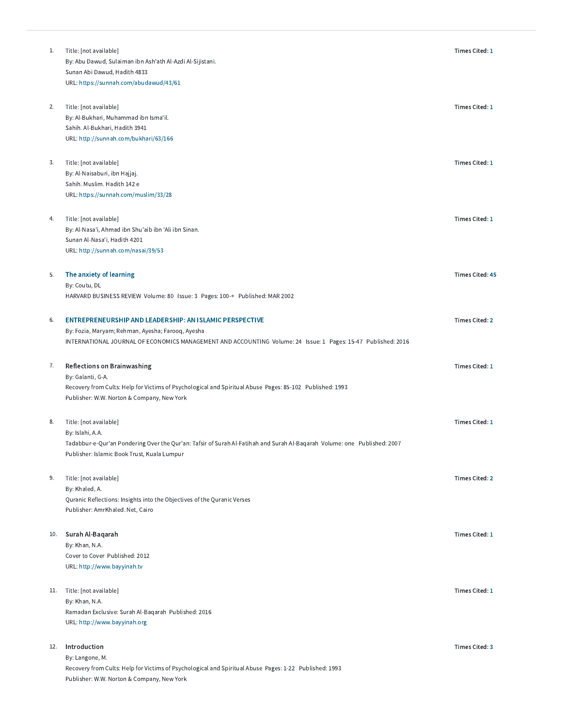| 1.  | Title: [not available]<br>By: Abu Dawud, Sulaiman ibn Ash'ath Al-Azdi Al-Sijistani.<br>Sunan Abi Dawud, Hadith 4833<br>URL: https://sunnah.com/abudawud/43/61                                                                 | <b>Times Cited: 1</b>  |
|-----|-------------------------------------------------------------------------------------------------------------------------------------------------------------------------------------------------------------------------------|------------------------|
| 2.  | Title: [not available]<br>By: Al-Bukhari, Muhammad ibn Isma'il.<br>Sahih. Al-Bukhari, Hadith 3941<br>URL: http://sunnah.com/bukhari/63/166                                                                                    | Times Cited: 1         |
| 3.  | Title: [not available]<br>By: Al-Naisaburi, ibn Hajjaj.<br>Sahih. Muslim. Hadith 142 e<br>URL: https://sunnah.com/muslim/33/28                                                                                                | Times Cited: 1         |
| 4.  | Title: [not available]<br>By: Al-Nasa'i, Ahmad ibn Shu'aib ibn 'Ali ibn Sinan.<br>Sunan Al-Nasa'i, Hadith 4201<br>URL: http://sunnah.com/nasai/39/53                                                                          | <b>Times Cited: 1</b>  |
| 5.  | The anxiety of learning<br>By: Coutu, DL<br>HARVARD BUSINESS REVIEW Volume: 80 Issue: 3 Pages: 100-+ Published: MAR 2002                                                                                                      | <b>Times Cited: 45</b> |
| 6.  | ENTREPRENEURSHIP AND LEADERSHIP: AN ISLAMIC PERSPECTIVE<br>By: Fozia, Maryam; Rehman, Ayesha; Farooq, Ayesha<br>INTERNATIONAL JOURNAL OF ECONOMICS MANAGEMENT AND ACCOUNTING Volume: 24 Issue: 1 Pages: 15-47 Published: 2016 | <b>Times Cited: 2</b>  |
| 7.  | <b>Reflections on Brainwashing</b><br>By: Galanti, G-A.<br>Recovery from Cults: Help for Victims of Psychological and Spiritual Abuse Pages: 85-102 Published: 1993<br>Publisher: W.W. Norton & Company, New York             | <b>Times Cited: 1</b>  |
| 8.  | Title: [not available]<br>By: Islahi, A.A.<br>Tadabbur-e-Qur'an Pondering Over the Qur'an: Tafsir of Surah Al-Fatihah and Surah Al-Baqarah Volume: one Published: 2007<br>Publisher: Islamic Book Trust, Kuala Lumpur         | <b>Times Cited: 1</b>  |
| 9.  | Title: [not available]<br>By: Khaled, A.<br>Quranic Reflections: Insights into the Objectives of the Quranic Verses<br>Publisher: AmrKhaled. Net, Cairo                                                                       | <b>Times Cited: 2</b>  |
| 10. | Surah Al-Baqarah<br>By: Khan, N.A.<br>Cover to Cover Published: 2012<br>URL: http://www.bayyinah.tv                                                                                                                           | Times Cited: 1         |
| 11. | Title: [not available]<br>By: Khan, N.A.<br>Ramadan Exclusive: Surah Al-Baqarah Published: 2016<br>URL: http://www.bayyinah.org                                                                                               | <b>Times Cited: 1</b>  |
| 12. | Introduction<br>By: Langone, M.<br>Recovery from Cults: Help for Victims of Psychological and Spiritual Abuse Pages: 1-22 Published: 1993<br>Publisher: W.W. Norton & Company, New York                                       | <b>Times Cited: 3</b>  |